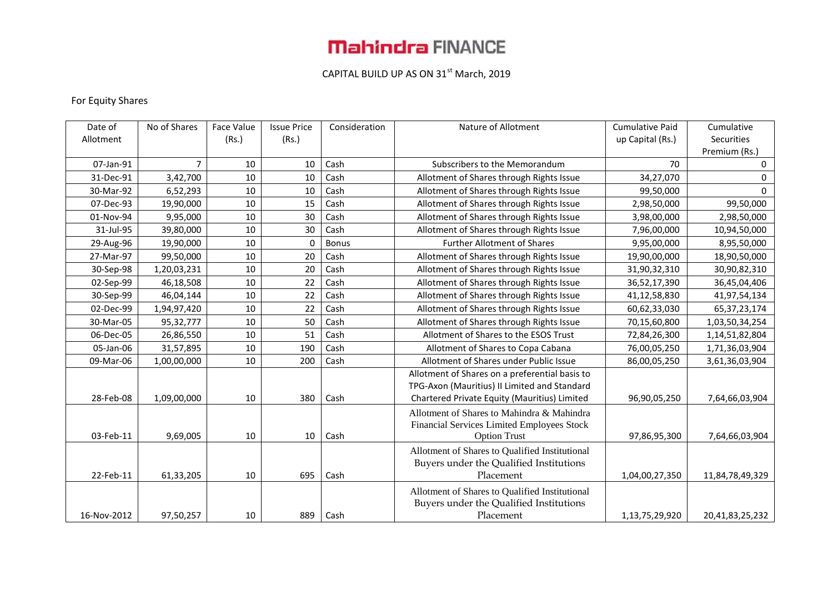# **Mahindra FINANCE**

## CAPITAL BUILD UP AS ON  $31^{st}$  March, 2019

### For Equity Shares

| Date of     | No of Shares | Face Value | <b>Issue Price</b> | Consideration | Nature of Allotment                                                                                                                            | <b>Cumulative Paid</b> | Cumulative      |
|-------------|--------------|------------|--------------------|---------------|------------------------------------------------------------------------------------------------------------------------------------------------|------------------------|-----------------|
| Allotment   |              | (Rs.)      | (Rs.)              |               |                                                                                                                                                | up Capital (Rs.)       | Securities      |
|             |              |            |                    |               |                                                                                                                                                |                        | Premium (Rs.)   |
| 07-Jan-91   | 7            | 10         | 10                 | Cash          | Subscribers to the Memorandum                                                                                                                  | 70                     | 0               |
| 31-Dec-91   | 3,42,700     | 10         | 10                 | Cash          | Allotment of Shares through Rights Issue                                                                                                       | 34,27,070              | 0               |
| 30-Mar-92   | 6,52,293     | 10         | 10                 | Cash          | Allotment of Shares through Rights Issue                                                                                                       | 99,50,000              | 0               |
| 07-Dec-93   | 19,90,000    | 10         | 15                 | Cash          | Allotment of Shares through Rights Issue                                                                                                       | 2,98,50,000            | 99,50,000       |
| 01-Nov-94   | 9,95,000     | 10         | 30                 | Cash          | Allotment of Shares through Rights Issue                                                                                                       | 3,98,00,000            | 2,98,50,000     |
| 31-Jul-95   | 39,80,000    | 10         | 30                 | Cash          | Allotment of Shares through Rights Issue                                                                                                       | 7,96,00,000            | 10,94,50,000    |
| 29-Aug-96   | 19,90,000    | 10         | 0                  | <b>Bonus</b>  | <b>Further Allotment of Shares</b>                                                                                                             | 9,95,00,000            | 8,95,50,000     |
| 27-Mar-97   | 99,50,000    | 10         | 20                 | Cash          | Allotment of Shares through Rights Issue                                                                                                       | 19,90,00,000           | 18,90,50,000    |
| 30-Sep-98   | 1,20,03,231  | 10         | 20                 | Cash          | Allotment of Shares through Rights Issue                                                                                                       | 31,90,32,310           | 30,90,82,310    |
| 02-Sep-99   | 46,18,508    | 10         | 22                 | Cash          | Allotment of Shares through Rights Issue                                                                                                       | 36,52,17,390           | 36,45,04,406    |
| 30-Sep-99   | 46,04,144    | 10         | 22                 | Cash          | Allotment of Shares through Rights Issue                                                                                                       | 41,12,58,830           | 41,97,54,134    |
| 02-Dec-99   | 1,94,97,420  | 10         | 22                 | Cash          | Allotment of Shares through Rights Issue                                                                                                       | 60,62,33,030           | 65, 37, 23, 174 |
| 30-Mar-05   | 95,32,777    | 10         | 50                 | Cash          | Allotment of Shares through Rights Issue                                                                                                       | 70,15,60,800           | 1,03,50,34,254  |
| 06-Dec-05   | 26,86,550    | 10         | 51                 | Cash          | Allotment of Shares to the ESOS Trust                                                                                                          | 72,84,26,300           | 1,14,51,82,804  |
| 05-Jan-06   | 31,57,895    | 10         | 190                | Cash          | Allotment of Shares to Copa Cabana                                                                                                             | 76,00,05,250           | 1,71,36,03,904  |
| 09-Mar-06   | 1,00,00,000  | 10         | 200                | Cash          | Allotment of Shares under Public Issue                                                                                                         | 86,00,05,250           | 3,61,36,03,904  |
| 28-Feb-08   | 1,09,00,000  | 10         | 380                | Cash          | Allotment of Shares on a preferential basis to<br>TPG-Axon (Mauritius) II Limited and Standard<br>Chartered Private Equity (Mauritius) Limited | 96,90,05,250           | 7,64,66,03,904  |
| 03-Feb-11   | 9,69,005     | 10         | 10                 | Cash          | Allotment of Shares to Mahindra & Mahindra<br>Financial Services Limited Employees Stock<br><b>Option Trust</b>                                | 97,86,95,300           | 7,64,66,03,904  |
| 22-Feb-11   | 61,33,205    | 10         | 695                | Cash          | Allotment of Shares to Qualified Institutional<br>Buyers under the Qualified Institutions<br>Placement                                         | 1,04,00,27,350         | 11,84,78,49,329 |
| 16-Nov-2012 | 97,50,257    | 10         |                    | 889   Cash    | Allotment of Shares to Qualified Institutional<br>Buyers under the Qualified Institutions<br>Placement                                         | 1,13,75,29,920         | 20,41,83,25,232 |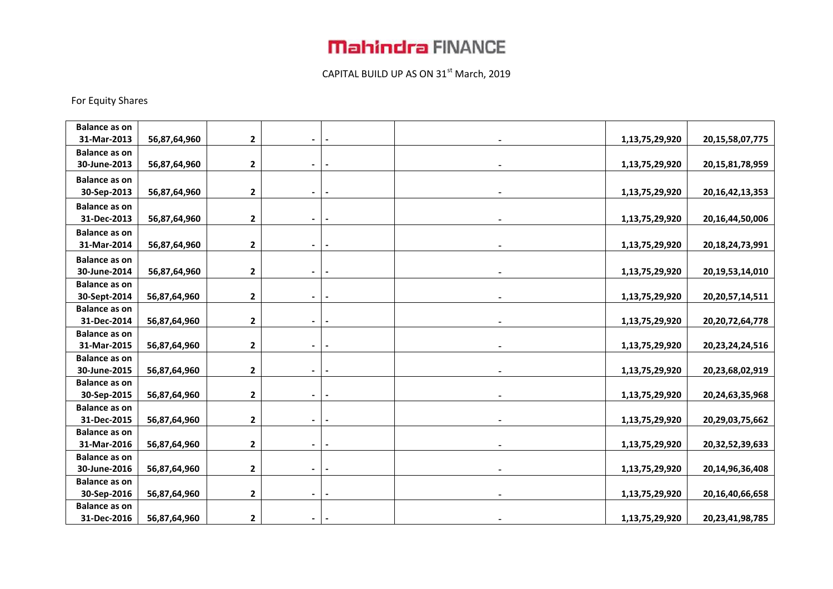## **Mahindra FINANCE**

## CAPITAL BUILD UP AS ON  $31^{st}$  March, 2019

#### For Equity Shares

| <b>Balance as on</b> |              |              |                          |  |                |                     |
|----------------------|--------------|--------------|--------------------------|--|----------------|---------------------|
| 31-Mar-2013          | 56,87,64,960 | $\mathbf{2}$ |                          |  | 1,13,75,29,920 | 20, 15, 58, 07, 775 |
| <b>Balance as on</b> |              |              |                          |  |                |                     |
| 30-June-2013         | 56,87,64,960 | $\mathbf{2}$ | $\blacksquare$           |  | 1,13,75,29,920 | 20,15,81,78,959     |
| <b>Balance as on</b> |              |              |                          |  |                |                     |
| 30-Sep-2013          | 56,87,64,960 | $\mathbf{2}$ | $\blacksquare$           |  | 1,13,75,29,920 | 20, 16, 42, 13, 353 |
| <b>Balance as on</b> |              |              |                          |  |                |                     |
| 31-Dec-2013          | 56,87,64,960 | $\mathbf{2}$ | $\blacksquare$           |  | 1,13,75,29,920 | 20,16,44,50,006     |
| <b>Balance as on</b> |              |              |                          |  |                |                     |
| 31-Mar-2014          | 56,87,64,960 | 2            |                          |  | 1,13,75,29,920 | 20,18,24,73,991     |
| <b>Balance as on</b> |              |              |                          |  |                |                     |
| 30-June-2014         | 56,87,64,960 | $\mathbf 2$  | -                        |  | 1,13,75,29,920 | 20,19,53,14,010     |
| <b>Balance as on</b> |              |              |                          |  |                |                     |
| 30-Sept-2014         | 56,87,64,960 | $\mathbf 2$  |                          |  | 1,13,75,29,920 | 20, 20, 57, 14, 511 |
| <b>Balance as on</b> |              |              |                          |  |                |                     |
| 31-Dec-2014          | 56,87,64,960 | 2            | $\blacksquare$           |  | 1,13,75,29,920 | 20, 20, 72, 64, 778 |
| <b>Balance as on</b> |              |              |                          |  |                |                     |
| 31-Mar-2015          | 56,87,64,960 | $\mathbf{2}$ | -                        |  | 1,13,75,29,920 | 20,23,24,24,516     |
| <b>Balance as on</b> |              |              |                          |  |                |                     |
| 30-June-2015         | 56,87,64,960 | $\mathbf{2}$ | -                        |  | 1,13,75,29,920 | 20,23,68,02,919     |
| <b>Balance as on</b> |              |              |                          |  |                |                     |
| 30-Sep-2015          | 56,87,64,960 | $\mathbf 2$  |                          |  | 1,13,75,29,920 | 20,24,63,35,968     |
| <b>Balance as on</b> |              |              |                          |  |                |                     |
| 31-Dec-2015          | 56,87,64,960 | $\mathbf{2}$ | $\overline{\phantom{0}}$ |  | 1,13,75,29,920 | 20,29,03,75,662     |
| <b>Balance as on</b> |              |              |                          |  |                |                     |
| 31-Mar-2016          | 56,87,64,960 | $\mathbf{2}$ |                          |  | 1,13,75,29,920 | 20,32,52,39,633     |
| <b>Balance as on</b> |              |              |                          |  |                |                     |
| 30-June-2016         | 56,87,64,960 | $\mathbf{2}$ | ۰.                       |  | 1,13,75,29,920 | 20,14,96,36,408     |
| <b>Balance as on</b> |              |              |                          |  |                |                     |
| 30-Sep-2016          | 56,87,64,960 | 2            | $\overline{\phantom{0}}$ |  | 1,13,75,29,920 | 20,16,40,66,658     |
| <b>Balance as on</b> |              |              |                          |  |                |                     |
| 31-Dec-2016          | 56,87,64,960 | $\mathbf{2}$ |                          |  | 1,13,75,29,920 | 20,23,41,98,785     |